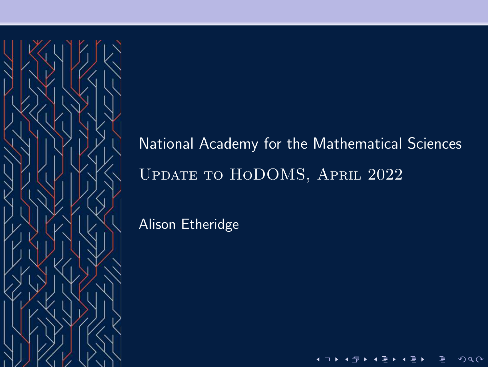

# National Academy for the Mathematical Sciences Update to HoDOMS, April 2022

 $\blacksquare$ 

 $299$ 

Alison Etheridge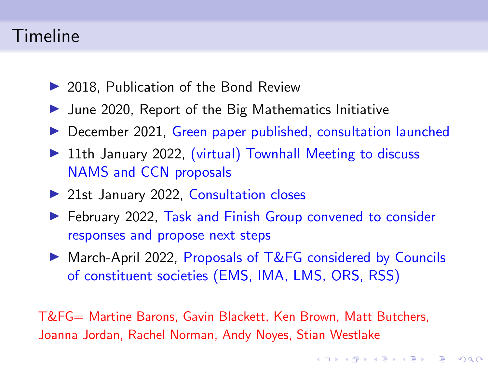### Timeline

- ▶ 2018. Publication of the Bond Review
- $\blacktriangleright$  June 2020, Report of the Big Mathematics Initiative
- ▶ December 2021, Green paper published, consultation launched
- ▶ 11th January 2022, (virtual) Townhall Meeting to discuss NAMS and CCN proposals
- ▶ 21st January 2022, Consultation closes
- ▶ February 2022, Task and Finish Group convened to consider responses and propose next steps
- ▶ March-April 2022, Proposals of T&FG considered by Councils of constituent societies (EMS, IMA, LMS, ORS, RSS)

**KORKARYKERKER OQO** 

T&FG= Martine Barons, Gavin Blackett, Ken Brown, Matt Butchers, Joanna Jordan, Rachel Norman, Andy Noyes, Stian Westlake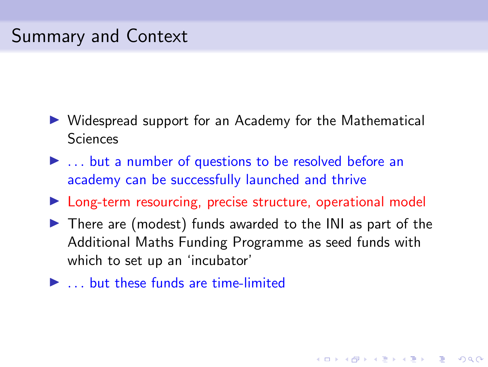# Summary and Context

- ▶ Widespread support for an Academy for the Mathematical Sciences
- ▶ ... but a number of questions to be resolved before an academy can be successfully launched and thrive
- ▶ Long-term resourcing, precise structure, operational model
- $\blacktriangleright$  There are (modest) funds awarded to the INI as part of the Additional Maths Funding Programme as seed funds with which to set up an 'incubator'

**KORKARYKERKER OQO** 

 $\blacktriangleright$  ... but these funds are time-limited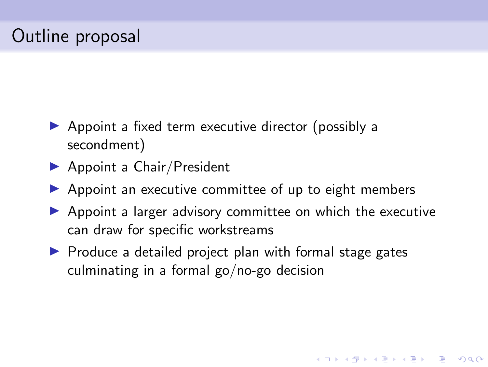# Outline proposal

- $\triangleright$  Appoint a fixed term executive director (possibly a secondment)
- $\blacktriangleright$  Appoint a Chair/President
- $\triangleright$  Appoint an executive committee of up to eight members
- ▶ Appoint a larger advisory committee on which the executive can draw for specific workstreams

**KORKARYKERKER OQO** 

▶ Produce a detailed project plan with formal stage gates culminating in a formal go/no-go decision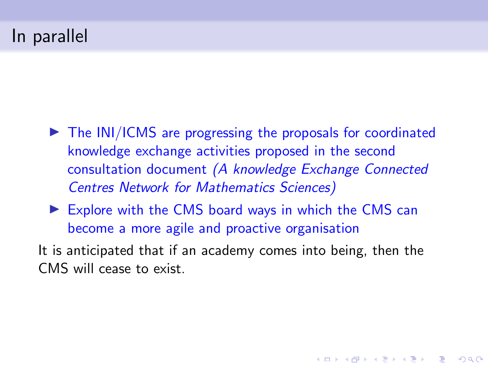# In parallel

- ► The INI/ICMS are progressing the proposals for coordinated knowledge exchange activities proposed in the second consultation document (A knowledge Exchange Connected Centres Network for Mathematics Sciences)
- $\triangleright$  Explore with the CMS board ways in which the CMS can become a more agile and proactive organisation
- It is anticipated that if an academy comes into being, then the CMS will cease to exist.

**KORKARYKERKER OQO**